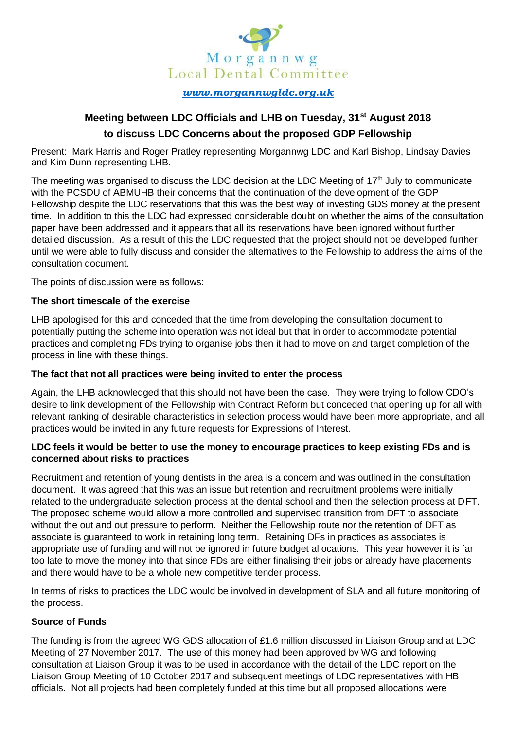

*[www.morgannwgldc.org.uk](../../Consultations/GDP%20Fellowship/www.morgannwgldc.org.uk)*

# **Meeting between LDC Officials and LHB on Tuesday, 31st August 2018 to discuss LDC Concerns about the proposed GDP Fellowship**

Present: Mark Harris and Roger Pratley representing Morgannwg LDC and Karl Bishop, Lindsay Davies and Kim Dunn representing LHB.

The meeting was organised to discuss the LDC decision at the LDC Meeting of  $17<sup>th</sup>$  July to communicate with the PCSDU of ABMUHB their concerns that the continuation of the development of the GDP Fellowship despite the LDC reservations that this was the best way of investing GDS money at the present time. In addition to this the LDC had expressed considerable doubt on whether the aims of the consultation paper have been addressed and it appears that all its reservations have been ignored without further detailed discussion. As a result of this the LDC requested that the project should not be developed further until we were able to fully discuss and consider the alternatives to the Fellowship to address the aims of the consultation document.

The points of discussion were as follows:

# **The short timescale of the exercise**

LHB apologised for this and conceded that the time from developing the consultation document to potentially putting the scheme into operation was not ideal but that in order to accommodate potential practices and completing FDs trying to organise jobs then it had to move on and target completion of the process in line with these things.

## **The fact that not all practices were being invited to enter the process**

Again, the LHB acknowledged that this should not have been the case. They were trying to follow CDO's desire to link development of the Fellowship with Contract Reform but conceded that opening up for all with relevant ranking of desirable characteristics in selection process would have been more appropriate, and all practices would be invited in any future requests for Expressions of Interest.

# **LDC feels it would be better to use the money to encourage practices to keep existing FDs and is concerned about risks to practices**

Recruitment and retention of young dentists in the area is a concern and was outlined in the consultation document. It was agreed that this was an issue but retention and recruitment problems were initially related to the undergraduate selection process at the dental school and then the selection process at DFT. The proposed scheme would allow a more controlled and supervised transition from DFT to associate without the out and out pressure to perform. Neither the Fellowship route nor the retention of DFT as associate is guaranteed to work in retaining long term. Retaining DFs in practices as associates is appropriate use of funding and will not be ignored in future budget allocations. This year however it is far too late to move the money into that since FDs are either finalising their jobs or already have placements and there would have to be a whole new competitive tender process.

In terms of risks to practices the LDC would be involved in development of SLA and all future monitoring of the process.

# **Source of Funds**

The funding is from the agreed WG GDS allocation of £1.6 million discussed in Liaison Group and at LDC Meeting of 27 November 2017. The use of this money had been approved by WG and following consultation at Liaison Group it was to be used in accordance with the detail of the LDC report on the Liaison Group Meeting of 10 October 2017 and subsequent meetings of LDC representatives with HB officials. Not all projects had been completely funded at this time but all proposed allocations were